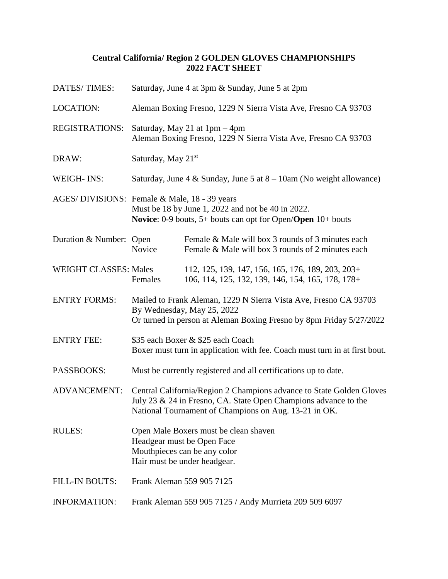## **Central California/ Region 2 GOLDEN GLOVES CHAMPIONSHIPS 2022 FACT SHEET**

| <b>DATES/TIMES:</b>          | Saturday, June 4 at 3pm & Sunday, June 5 at 2pm                                                                                                                                                  |                                                                                                        |  |
|------------------------------|--------------------------------------------------------------------------------------------------------------------------------------------------------------------------------------------------|--------------------------------------------------------------------------------------------------------|--|
| <b>LOCATION:</b>             | Aleman Boxing Fresno, 1229 N Sierra Vista Ave, Fresno CA 93703                                                                                                                                   |                                                                                                        |  |
| <b>REGISTRATIONS:</b>        | Saturday, May 21 at 1pm - 4pm<br>Aleman Boxing Fresno, 1229 N Sierra Vista Ave, Fresno CA 93703                                                                                                  |                                                                                                        |  |
| DRAW:                        | Saturday, May 21 <sup>st</sup>                                                                                                                                                                   |                                                                                                        |  |
| <b>WEIGH-INS:</b>            | Saturday, June 4 & Sunday, June 5 at $8 - 10$ am (No weight allowance)                                                                                                                           |                                                                                                        |  |
|                              | AGES/DIVISIONS: Female & Male, 18 - 39 years<br>Must be 18 by June 1, 2022 and not be 40 in 2022.<br><b>Novice:</b> 0-9 bouts, $5+$ bouts can opt for Open/ <b>Open</b> $10+$ bouts              |                                                                                                        |  |
| Duration & Number: Open      | Novice                                                                                                                                                                                           | Female & Male will box 3 rounds of 3 minutes each<br>Female & Male will box 3 rounds of 2 minutes each |  |
| <b>WEIGHT CLASSES: Males</b> | Females                                                                                                                                                                                          | 112, 125, 139, 147, 156, 165, 176, 189, 203, 203+<br>106, 114, 125, 132, 139, 146, 154, 165, 178, 178+ |  |
| <b>ENTRY FORMS:</b>          | Mailed to Frank Aleman, 1229 N Sierra Vista Ave, Fresno CA 93703<br>By Wednesday, May 25, 2022<br>Or turned in person at Aleman Boxing Fresno by 8pm Friday 5/27/2022                            |                                                                                                        |  |
| <b>ENTRY FEE:</b>            | \$35 each Boxer & \$25 each Coach<br>Boxer must turn in application with fee. Coach must turn in at first bout.                                                                                  |                                                                                                        |  |
| PASSBOOKS:                   | Must be currently registered and all certifications up to date.                                                                                                                                  |                                                                                                        |  |
| <b>ADVANCEMENT:</b>          | Central California/Region 2 Champions advance to State Golden Gloves<br>July 23 & 24 in Fresno, CA. State Open Champions advance to the<br>National Tournament of Champions on Aug. 13-21 in OK. |                                                                                                        |  |
| <b>RULES:</b>                | Open Male Boxers must be clean shaven<br>Headgear must be Open Face<br>Mouthpieces can be any color<br>Hair must be under headgear.                                                              |                                                                                                        |  |
| <b>FILL-IN BOUTS:</b>        | Frank Aleman 559 905 7125                                                                                                                                                                        |                                                                                                        |  |
| <b>INFORMATION:</b>          | Frank Aleman 559 905 7125 / Andy Murrieta 209 509 6097                                                                                                                                           |                                                                                                        |  |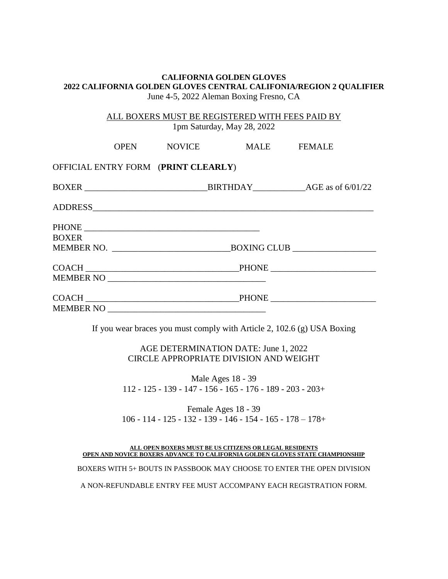## **CALIFORNIA GOLDEN GLOVES 2022 CALIFORNIA GOLDEN GLOVES CENTRAL CALIFONIA/REGION 2 QUALIFIER** June 4-5, 2022 Aleman Boxing Fresno, CA

ALL BOXERS MUST BE REGISTERED WITH FEES PAID BY 1pm Saturday, May 28, 2022

|                                         | OPEN NOVICE | MALE FEMALE |  |
|-----------------------------------------|-------------|-------------|--|
| OFFICIAL ENTRY FORM (PRINT CLEARLY)     |             |             |  |
|                                         |             |             |  |
|                                         |             |             |  |
|                                         |             |             |  |
| <b>BOXER</b>                            |             |             |  |
|                                         |             |             |  |
|                                         |             |             |  |
|                                         |             |             |  |
| $\text{COACH} \underline{\hspace{2cm}}$ |             |             |  |
|                                         |             | MEMBER NO   |  |

If you wear braces you must comply with Article 2, 102.6 (g) USA Boxing

AGE DETERMINATION DATE: June 1, 2022 CIRCLE APPROPRIATE DIVISION AND WEIGHT

Male Ages 18 - 39 112 - 125 - 139 - 147 - 156 - 165 - 176 - 189 - 203 - 203+

Female Ages 18 - 39 106 - 114 - 125 - 132 - 139 - 146 - 154 - 165 - 178 – 178+

**ALL OPEN BOXERS MUST BE US CITIZENS OR LEGAL RESIDENTS OPEN AND NOVICE BOXERS ADVANCE TO CALIFORNIA GOLDEN GLOVES STATE CHAMPIONSHIP** BOXERS WITH 5+ BOUTS IN PASSBOOK MAY CHOOSE TO ENTER THE OPEN DIVISION A NON-REFUNDABLE ENTRY FEE MUST ACCOMPANY EACH REGISTRATION FORM.